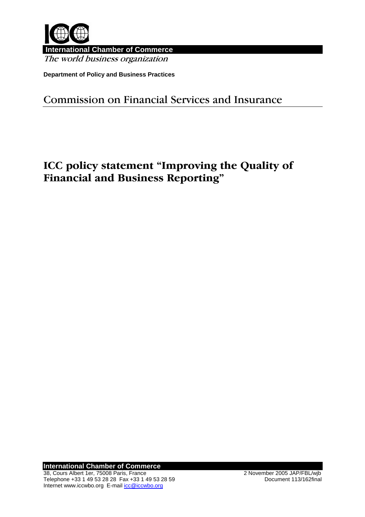

 **International Chamber of Commerce** The world business organization

**Department of Policy and Business Practices** 

## Commission on Financial Services and Insurance

# ICC policy statement "Improving the Quality of Financial and Business Reporting"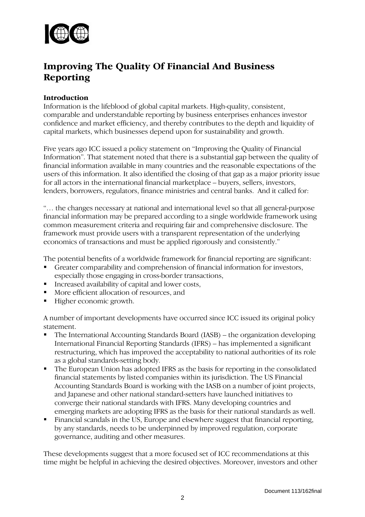

## Improving The Quality Of Financial And Business Reporting

#### Introduction

Information is the lifeblood of global capital markets. High-quality, consistent, comparable and understandable reporting by business enterprises enhances investor confidence and market efficiency, and thereby contributes to the depth and liquidity of capital markets, which businesses depend upon for sustainability and growth.

Five years ago ICC issued a policy statement on "Improving the Quality of Financial Information". That statement noted that there is a substantial gap between the quality of financial information available in many countries and the reasonable expectations of the users of this information. It also identified the closing of that gap as a major priority issue for all actors in the international financial marketplace – buyers, sellers, investors, lenders, borrowers, regulators, finance ministries and central banks. And it called for:

"… the changes necessary at national and international level so that all general-purpose financial information may be prepared according to a single worldwide framework using common measurement criteria and requiring fair and comprehensive disclosure. The framework must provide users with a transparent representation of the underlying economics of transactions and must be applied rigorously and consistently."

The potential benefits of a worldwide framework for financial reporting are significant:

- Greater comparability and comprehension of financial information for investors, especially those engaging in cross-border transactions,
- Increased availability of capital and lower costs,
- More efficient allocation of resources, and
- Higher economic growth.

A number of important developments have occurred since ICC issued its original policy statement.

- The International Accounting Standards Board (IASB) the organization developing International Financial Reporting Standards (IFRS) – has implemented a significant restructuring, which has improved the acceptability to national authorities of its role as a global standards-setting body.
- The European Union has adopted IFRS as the basis for reporting in the consolidated financial statements by listed companies within its jurisdiction. The US Financial Accounting Standards Board is working with the IASB on a number of joint projects, and Japanese and other national standard-setters have launched initiatives to converge their national standards with IFRS. Many developing countries and emerging markets are adopting IFRS as the basis for their national standards as well.
- Financial scandals in the US, Europe and elsewhere suggest that financial reporting, by any standards, needs to be underpinned by improved regulation, corporate governance, auditing and other measures.

These developments suggest that a more focused set of ICC recommendations at this time might be helpful in achieving the desired objectives. Moreover, investors and other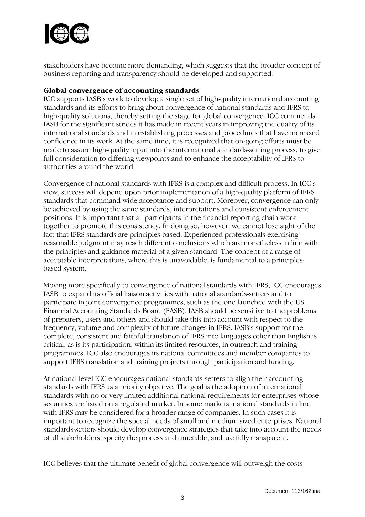

stakeholders have become more demanding, which suggests that the broader concept of business reporting and transparency should be developed and supported.

#### Global convergence of accounting standards

ICC supports IASB's work to develop a single set of high-quality international accounting standards and its efforts to bring about convergence of national standards and IFRS to high-quality solutions, thereby setting the stage for global convergence. ICC commends IASB for the significant strides it has made in recent years in improving the quality of its international standards and in establishing processes and procedures that have increased confidence in its work. At the same time, it is recognized that on-going efforts must be made to assure high-quality input into the international standards-setting process, to give full consideration to differing viewpoints and to enhance the acceptability of IFRS to authorities around the world.

Convergence of national standards with IFRS is a complex and difficult process. In ICC's view, success will depend upon prior implementation of a high-quality platform of IFRS standards that command wide acceptance and support. Moreover, convergence can only be achieved by using the same standards, interpretations and consistent enforcement positions. It is important that all participants in the financial reporting chain work together to promote this consistency. In doing so, however, we cannot lose sight of the fact that IFRS standards are principles-based. Experienced professionals exercising reasonable judgment may reach different conclusions which are nonetheless in line with the principles and guidance material of a given standard. The concept of a range of acceptable interpretations, where this is unavoidable, is fundamental to a principlesbased system.

Moving more specifically to convergence of national standards with IFRS, ICC encourages IASB to expand its official liaison activities with national standards-setters and to participate in joint convergence programmes, such as the one launched with the US Financial Accounting Standards Board (FASB). IASB should be sensitive to the problems of preparers, users and others and should take this into account with respect to the frequency, volume and complexity of future changes in IFRS. IASB's support for the complete, consistent and faithful translation of IFRS into languages other than English is critical, as is its participation, within its limited resources, in outreach and training programmes. ICC also encourages its national committees and member companies to support IFRS translation and training projects through participation and funding.

At national level ICC encourages national standards-setters to align their accounting standards with IFRS as a priority objective. The goal is the adoption of international standards with no or very limited additional national requirements for enterprises whose securities are listed on a regulated market. In some markets, national standards in line with IFRS may be considered for a broader range of companies. In such cases it is important to recognize the special needs of small and medium sized enterprises. National standards-setters should develop convergence strategies that take into account the needs of all stakeholders, specify the process and timetable, and are fully transparent.

ICC believes that the ultimate benefit of global convergence will outweigh the costs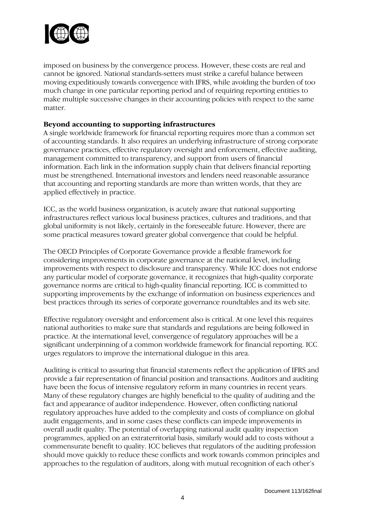

imposed on business by the convergence process. However, these costs are real and cannot be ignored. National standards-setters must strike a careful balance between moving expeditiously towards convergence with IFRS, while avoiding the burden of too much change in one particular reporting period and of requiring reporting entities to make multiple successive changes in their accounting policies with respect to the same matter.

#### Beyond accounting to supporting infrastructures

A single worldwide framework for financial reporting requires more than a common set of accounting standards. It also requires an underlying infrastructure of strong corporate governance practices, effective regulatory oversight and enforcement, effective auditing, management committed to transparency, and support from users of financial information. Each link in the information supply chain that delivers financial reporting must be strengthened. International investors and lenders need reasonable assurance that accounting and reporting standards are more than written words, that they are applied effectively in practice.

ICC, as the world business organization, is acutely aware that national supporting infrastructures reflect various local business practices, cultures and traditions, and that global uniformity is not likely, certainly in the foreseeable future. However, there are some practical measures toward greater global convergence that could be helpful.

The OECD Principles of Corporate Governance provide a flexible framework for considering improvements in corporate governance at the national level, including improvements with respect to disclosure and transparency. While ICC does not endorse any particular model of corporate governance, it recognizes that high-quality corporate governance norms are critical to high-quality financial reporting. ICC is committed to supporting improvements by the exchange of information on business experiences and best practices through its series of corporate governance roundtables and its web site.

Effective regulatory oversight and enforcement also is critical. At one level this requires national authorities to make sure that standards and regulations are being followed in practice. At the international level, convergence of regulatory approaches will be a significant underpinning of a common worldwide framework for financial reporting. ICC urges regulators to improve the international dialogue in this area.

Auditing is critical to assuring that financial statements reflect the application of IFRS and provide a fair representation of financial position and transactions. Auditors and auditing have been the focus of intensive regulatory reform in many countries in recent years. Many of these regulatory changes are highly beneficial to the quality of auditing and the fact and appearance of auditor independence. However, often conflicting national regulatory approaches have added to the complexity and costs of compliance on global audit engagements, and in some cases these conflicts can impede improvements in overall audit quality. The potential of overlapping national audit quality inspection programmes, applied on an extraterritorial basis, similarly would add to costs without a commensurate benefit to quality. ICC believes that regulators of the auditing profession should move quickly to reduce these conflicts and work towards common principles and approaches to the regulation of auditors, along with mutual recognition of each other's